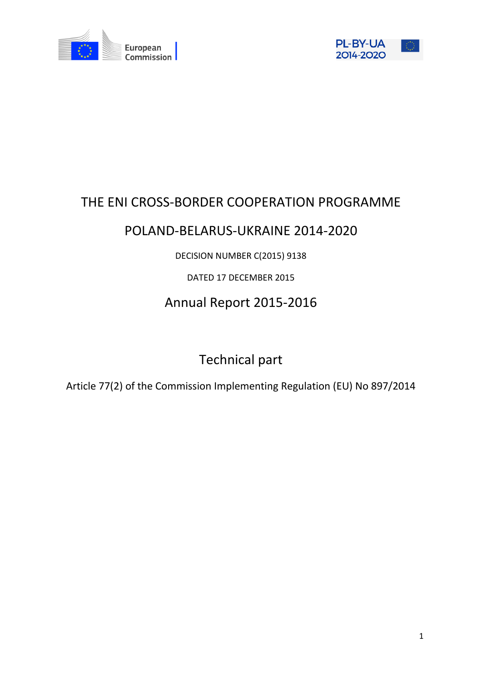



# THE ENI CROSS-BORDER COOPERATION PROGRAMME

# POLAND-BELARUS-UKRAINE 2014-2020

# DECISION NUMBER C(2015) 9138

# DATED 17 DECEMBER 2015

# Annual Report 2015-2016

# Technical part

Article 77(2) of the Commission Implementing Regulation (EU) No 897/2014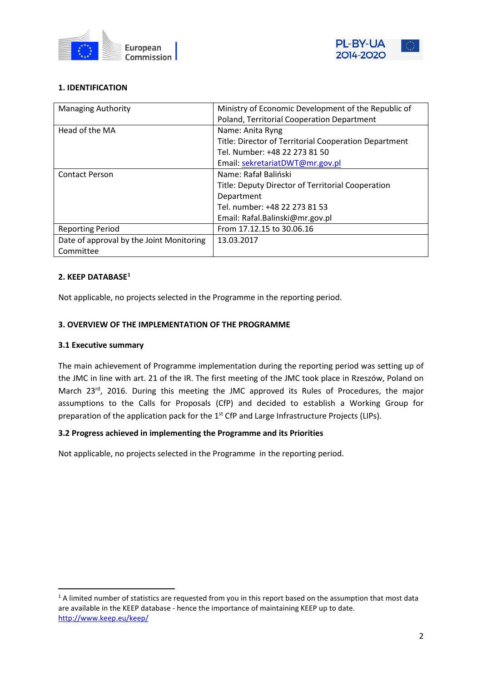



# **1. IDENTIFICATION**

| <b>Managing Authority</b>                | Ministry of Economic Development of the Republic of   |
|------------------------------------------|-------------------------------------------------------|
|                                          | Poland, Territorial Cooperation Department            |
| Head of the MA                           | Name: Anita Ryng                                      |
|                                          | Title: Director of Territorial Cooperation Department |
|                                          | Tel. Number: +48 22 273 81 50                         |
|                                          | Email: sekretariatDWT@mr.gov.pl                       |
| <b>Contact Person</b>                    | Name: Rafał Baliński                                  |
|                                          | Title: Deputy Director of Territorial Cooperation     |
|                                          | Department                                            |
|                                          | Tel. number: +48 22 273 81 53                         |
|                                          | Email: Rafal.Balinski@mr.gov.pl                       |
| <b>Reporting Period</b>                  | From 17.12.15 to 30.06.16                             |
| Date of approval by the Joint Monitoring | 13.03.2017                                            |
| Committee                                |                                                       |

## **2. KEEP DATABASE[1](#page-1-0)**

Not applicable, no projects selected in the Programme in the reporting period.

#### **3. OVERVIEW OF THE IMPLEMENTATION OF THE PROGRAMME**

#### **3.1 Executive summary**

The main achievement of Programme implementation during the reporting period was setting up of the JMC in line with art. 21 of the IR. The first meeting of the JMC took place in Rzeszów, Poland on March 23<sup>rd</sup>, 2016. During this meeting the JMC approved its Rules of Procedures, the major assumptions to the Calls for Proposals (CfP) and decided to establish a Working Group for preparation of the application pack for the 1<sup>st</sup> CfP and Large Infrastructure Projects (LIPs).

#### **3.2 Progress achieved in implementing the Programme and its Priorities**

Not applicable, no projects selected in the Programme in the reporting period.

<span id="page-1-0"></span> $1$  A limited number of statistics are requested from you in this report based on the assumption that most data are available in the KEEP database - hence the importance of maintaining KEEP up to date. <http://www.keep.eu/keep/>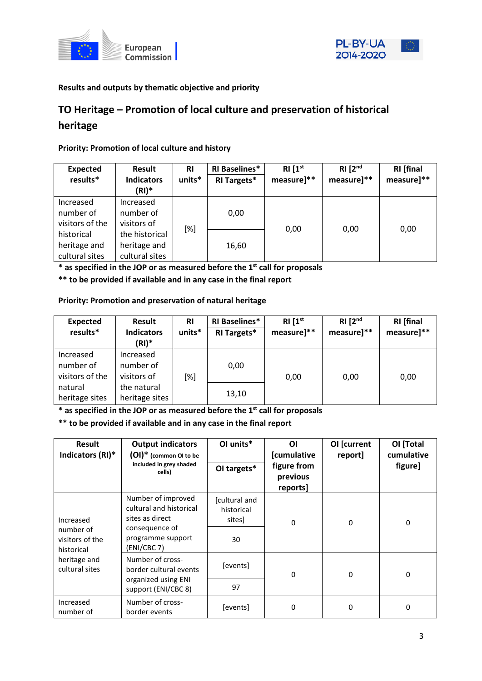



# **Results and outputs by thematic objective and priority**

# **TO Heritage – Promotion of local culture and preservation of historical heritage**

## **Priority: Promotion of local culture and history**

| <b>Expected</b><br>results*                  | <b>Result</b><br><b>Indicators</b><br>$(RI)^*$   | <b>RI</b><br>units* | <b>RI Baselines*</b><br><b>RI Targets*</b> | RI[1 <sup>st</sup> ]<br>measure]** | RI [2 <sup>nd</sup> ]<br>measure]** | <b>RI</b> [final<br>measure]** |
|----------------------------------------------|--------------------------------------------------|---------------------|--------------------------------------------|------------------------------------|-------------------------------------|--------------------------------|
| Increased<br>number of<br>visitors of the    | Increased<br>number of<br>visitors of            |                     | 0,00                                       |                                    |                                     |                                |
| historical<br>heritage and<br>cultural sites | the historical<br>heritage and<br>cultural sites | [%]                 | 16,60                                      | 0,00                               | 0,00                                | 0,00                           |

**\* as specified in the JOP or as measured before the 1st call for proposals**

**\*\* to be provided if available and in any case in the final report**

# **Priority: Promotion and preservation of natural heritage**

| <b>Expected</b><br>results*               | Result<br><b>Indicators</b><br>$(RI)^*$ | <b>RI</b><br>units* | <b>RI Baselines*</b><br>RI Targets* | RI[1 <sup>st</sup> ]<br>measure]** | $RI$ $[2^{nd}$<br>measure]** | <b>RI</b> [final<br>measure]** |
|-------------------------------------------|-----------------------------------------|---------------------|-------------------------------------|------------------------------------|------------------------------|--------------------------------|
| Increased<br>number of<br>visitors of the | Increased<br>number of<br>visitors of   | [%]                 | 0,00                                | 0,00                               | 0,00                         | 0,00                           |
| natural<br>heritage sites                 | the natural<br>heritage sites           |                     | 13,10                               |                                    |                              |                                |

**\* as specified in the JOP or as measured before the 1st call for proposals**

**\*\* to be provided if available and in any case in the final report**

| <b>Result</b><br>Indicators (RI)*                       | <b>Output indicators</b><br>$(OI)^*$ (common OI to be<br>included in grey shaded<br>cells)                             | OI units*<br>OI targets*                    | ΟI<br>[cumulative<br>figure from<br>previous<br>reports] | OI [current<br>report] | OI [Total<br>cumulative<br>figure] |
|---------------------------------------------------------|------------------------------------------------------------------------------------------------------------------------|---------------------------------------------|----------------------------------------------------------|------------------------|------------------------------------|
| Increased<br>number of<br>visitors of the<br>historical | Number of improved<br>cultural and historical<br>sites as direct<br>consequence of<br>programme support<br>(ENI/CBC 7) | [cultural and<br>historical<br>sites]<br>30 | $\Omega$                                                 | 0                      | 0                                  |
| heritage and<br>cultural sites                          | Number of cross-<br>border cultural events<br>organized using ENI<br>support (ENI/CBC 8)                               | [events]<br>97                              | 0                                                        | 0                      | $\Omega$                           |
| Increased<br>number of                                  | Number of cross-<br>border events                                                                                      | [events]                                    | $\Omega$                                                 | $\Omega$               | $\Omega$                           |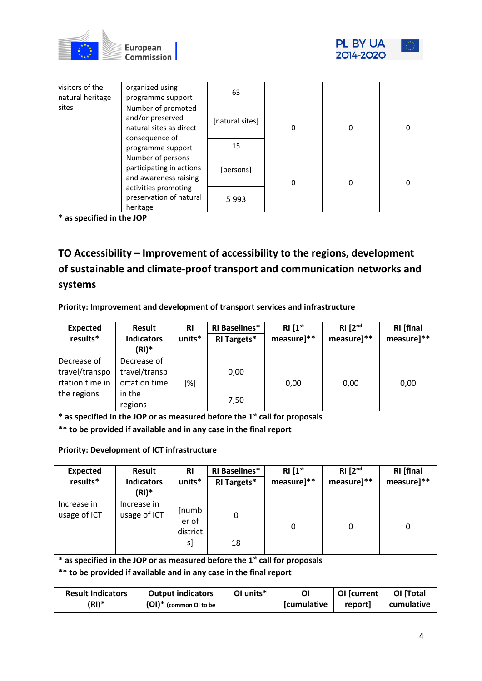



| visitors of the<br>natural heritage | organized using<br>programme support                                                | 63              |   |   |   |
|-------------------------------------|-------------------------------------------------------------------------------------|-----------------|---|---|---|
| sites                               | Number of promoted<br>and/or preserved<br>natural sites as direct<br>consequence of | [natural sites] | 0 | 0 | 0 |
|                                     | programme support                                                                   | 15              |   |   |   |
|                                     | Number of persons<br>participating in actions<br>and awareness raising              | [persons]       | 0 | 0 | 0 |
|                                     | activities promoting<br>preservation of natural<br>heritage                         | 5993            |   |   |   |

**\* as specified in the JOP**

**TO Accessibility – Improvement of accessibility to the regions, development of sustainable and climate-proof transport and communication networks and systems**

**Priority: Improvement and development of transport services and infrastructure**

| <b>Expected</b> | Result            | <b>RI</b> | <b>RI Baselines*</b> | RI [1 <sup>st</sup> ] | RI [2 <sup>nd</sup> ] | <b>RI</b> [final |
|-----------------|-------------------|-----------|----------------------|-----------------------|-----------------------|------------------|
| results*        | <b>Indicators</b> | units*    | RI Targets*          | measure]**            | measure]**            | measure]**       |
|                 | $(RI)^*$          |           |                      |                       |                       |                  |
| Decrease of     | Decrease of       |           |                      |                       |                       |                  |
| travel/transpo  | travel/transp     |           | 0,00                 |                       |                       |                  |
| rtation time in | ortation time     | [%]       |                      | 0,00                  | 0,00                  | 0,00             |
| the regions     | in the            |           |                      |                       |                       |                  |
|                 | regions           |           | 7,50                 |                       |                       |                  |

**\* as specified in the JOP or as measured before the 1st call for proposals**

**\*\* to be provided if available and in any case in the final report**

# **Priority: Development of ICT infrastructure**

| <b>Expected</b><br>results* | Result<br><b>Indicators</b><br>$(RI)^*$ | <b>RI</b><br>units*        | <b>RI Baselines*</b><br><b>RI Targets*</b> | RI[1 <sup>st</sup> ]<br>measure]** | $RI$ $[2^{nd}$<br>measure]** | <b>RI</b> [final<br>measure]** |
|-----------------------------|-----------------------------------------|----------------------------|--------------------------------------------|------------------------------------|------------------------------|--------------------------------|
| Increase in<br>usage of ICT | Increase in<br>usage of ICT             | [numb<br>er of<br>district | 0                                          | 0                                  | 0                            | 0                              |
|                             |                                         | s]                         | 18                                         |                                    |                              |                                |

**\* as specified in the JOP or as measured before the 1st call for proposals**

**\*\* to be provided if available and in any case in the final report**

| <b>Result Indicators</b> | <b>Output indicators</b>  | OI units* |                     | OI [current | OI [Total         |
|--------------------------|---------------------------|-----------|---------------------|-------------|-------------------|
| $(RI)^*$                 | $(OI)^*$ (common OI to be |           | <b>S</b> cumulative | report]     | <b>cumulative</b> |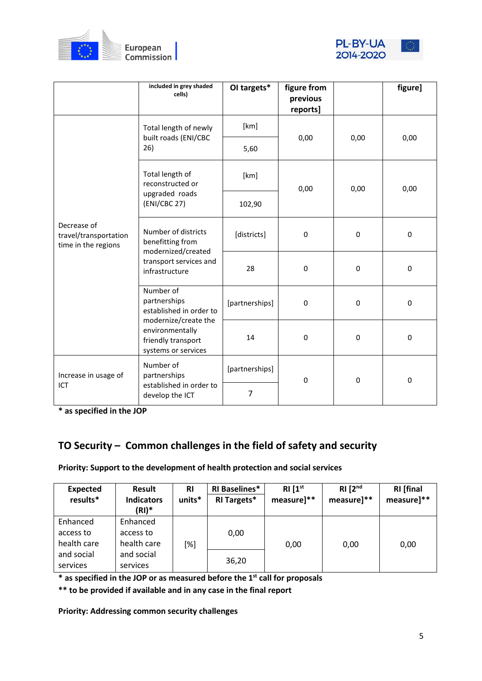



|                                                             | included in grey shaded<br>cells)                                                    | OI targets*    | figure from<br>previous<br>reports] |             | figure]     |
|-------------------------------------------------------------|--------------------------------------------------------------------------------------|----------------|-------------------------------------|-------------|-------------|
|                                                             | Total length of newly                                                                | [km]           |                                     |             |             |
|                                                             | built roads (ENI/CBC<br>26)                                                          | 5,60           | 0,00                                | 0,00        | 0,00        |
|                                                             | Total length of<br>reconstructed or                                                  | [km]           | 0,00                                | 0,00        | 0,00        |
|                                                             | upgraded roads<br>(ENI/CBC 27)                                                       | 102,90         |                                     |             |             |
| Decrease of<br>travel/transportation<br>time in the regions | Number of districts<br>benefitting from<br>modernized/created                        | [districts]    | $\pmb{0}$                           | $\mathbf 0$ | $\mathbf 0$ |
|                                                             | transport services and<br>infrastructure                                             | 28             | $\mathbf 0$                         | $\mathbf 0$ | $\mathbf 0$ |
|                                                             | Number of<br>partnerships<br>established in order to                                 | [partnerships] | $\pmb{0}$                           | 0           | 0           |
|                                                             | modernize/create the<br>environmentally<br>friendly transport<br>systems or services | 14             | $\mathbf 0$                         | $\mathbf 0$ | $\mathbf 0$ |
| Increase in usage of                                        | Number of<br>partnerships                                                            | [partnerships] | $\mathbf 0$                         | 0           | $\mathbf 0$ |
| ICT                                                         | established in order to<br>develop the ICT                                           | $\overline{7}$ |                                     |             |             |

**\* as specified in the JOP**

# **TO Security – Common challenges in the field of safety and security**

**Priority: Support to the development of health protection and social services**

| <b>Expected</b> | <b>Result</b>              | <b>RI</b> | <b>RI Baselines*</b> | RI[1 <sup>st</sup> ] | RI [2 <sup>nd</sup> ] | <b>RI</b> [final |
|-----------------|----------------------------|-----------|----------------------|----------------------|-----------------------|------------------|
| results*        | <b>Indicators</b><br>(RI)* | units*    | <b>RI Targets*</b>   | measure]**           | measure]**            | measure]**       |
| Enhanced        | Enhanced                   |           |                      |                      |                       |                  |
| access to       | access to                  |           | 0,00                 |                      |                       |                  |
| health care     | health care                | [%]       |                      | 0,00                 | 0,00                  | 0,00             |
| and social      | and social                 |           |                      |                      |                       |                  |
| services        | services                   |           | 36,20                |                      |                       |                  |

**\* as specified in the JOP or as measured before the 1st call for proposals**

**\*\* to be provided if available and in any case in the final report**

**Priority: Addressing common security challenges**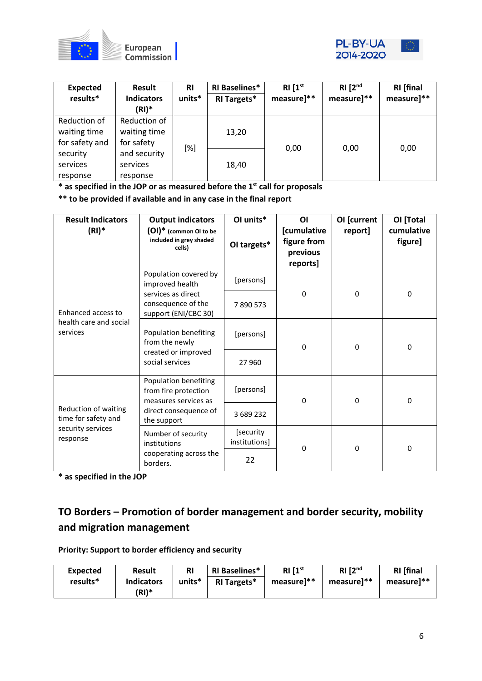



| <b>Expected</b> | Result                     | <b>RI</b> | <b>RI Baselines*</b> | $RI[1^{st}]$ | RI [2 <sup>nd</sup> ] | <b>RI</b> [final |
|-----------------|----------------------------|-----------|----------------------|--------------|-----------------------|------------------|
| results*        | <b>Indicators</b><br>(RI)* | units*    | RI Targets*          | measure]**   | measure]**            | measure]**       |
| Reduction of    | Reduction of               |           |                      |              |                       |                  |
| waiting time    | waiting time               |           | 13,20                |              |                       |                  |
| for safety and  | for safety                 | [%]       |                      |              |                       |                  |
| security        | and security               |           |                      | 0,00         | 0,00                  | 0,00             |
| services        | services                   |           | 18,40                |              |                       |                  |
| response        | response                   |           |                      |              |                       |                  |

**\* as specified in the JOP or as measured before the 1st call for proposals**

**\*\* to be provided if available and in any case in the final report**

| <b>Result Indicators</b><br>$(RI)^*$                                         | <b>Output indicators</b><br>(OI)* (common OI to be                    | OI units*                  | ΟI<br>[cumulative                   | OI [current<br>report] | OI [Total<br>cumulative |
|------------------------------------------------------------------------------|-----------------------------------------------------------------------|----------------------------|-------------------------------------|------------------------|-------------------------|
|                                                                              | included in grey shaded<br>cells)                                     | OI targets*                | figure from<br>previous<br>reports] |                        | figure]                 |
|                                                                              | Population covered by<br>improved health                              | [persons]                  |                                     |                        |                         |
| Enhanced access to                                                           | services as direct<br>consequence of the<br>support (ENI/CBC 30)      | 7890573                    | $\mathbf 0$                         | 0                      | $\mathbf 0$             |
| health care and social<br>services                                           | Population benefiting<br>from the newly                               | [persons]                  | $\Omega$                            | $\Omega$               | $\Omega$                |
|                                                                              | created or improved<br>social services                                | 27 960                     |                                     |                        |                         |
|                                                                              | Population benefiting<br>from fire protection<br>measures services as | [persons]                  | $\Omega$                            | $\Omega$               | $\mathbf{0}$            |
| Reduction of waiting<br>time for safety and<br>security services<br>response | direct consequence of<br>the support                                  | 3 689 232                  |                                     |                        |                         |
|                                                                              | Number of security<br>institutions                                    | [security<br>institutions] | $\Omega$                            | $\Omega$               | $\mathbf{0}$            |
|                                                                              | cooperating across the<br>borders.                                    | 22                         |                                     |                        |                         |

**\* as specified in the JOP**

# **TO Borders – Promotion of border management and border security, mobility and migration management**

**Priority: Support to border efficiency and security**

| <b>Expected</b> | <b>Result</b>     | <b>RI</b> | <b>RI Baselines*</b> | RI [1 <sup>st</sup> ] | RI [2 <sup>nd</sup> ] | <b>RI</b> [final       |
|-----------------|-------------------|-----------|----------------------|-----------------------|-----------------------|------------------------|
| results*        | <b>Indicators</b> | units*    | <b>RI Targets*</b>   | measure]**            | measure]**            | measure <sup>1**</sup> |
|                 | (RI)*             |           |                      |                       |                       |                        |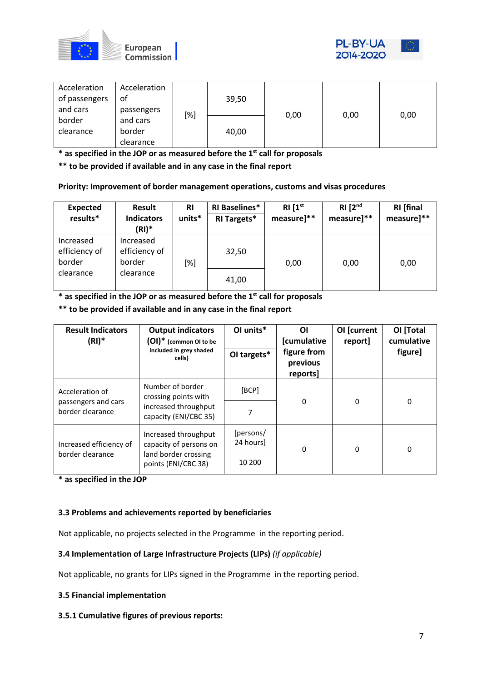



| Acceleration<br>of passengers | Acceleration<br>οf |     | 39,50 |      |      |      |
|-------------------------------|--------------------|-----|-------|------|------|------|
| and cars                      | passengers         | [%] |       | 0,00 | 0,00 | 0,00 |
| border                        | and cars           |     |       |      |      |      |
| clearance                     | border             |     | 40,00 |      |      |      |
|                               | clearance          |     |       |      |      |      |

**\* as specified in the JOP or as measured before the 1st call for proposals**

**\*\* to be provided if available and in any case in the final report**

## **Priority: Improvement of border management operations, customs and visas procedures**

| <b>Expected</b><br>results*          | <b>Result</b><br><b>Indicators</b><br>(RI)* | <b>RI</b><br>units* | <b>RI Baselines*</b><br>RI Targets* | RI[1 <sup>st</sup> ]<br>measure]** | RI [2 <sup>nd</sup> ]<br>measure]** | <b>RI</b> [final<br>measure]** |
|--------------------------------------|---------------------------------------------|---------------------|-------------------------------------|------------------------------------|-------------------------------------|--------------------------------|
| Increased<br>efficiency of<br>border | Increased<br>efficiency of<br>border        | [%]                 | 32,50                               | 0,00                               | 0,00                                | 0,00                           |
| clearance                            | clearance                                   |                     | 41,00                               |                                    |                                     |                                |

**\* as specified in the JOP or as measured before the 1st call for proposals**

**\*\* to be provided if available and in any case in the final report**

| <b>Result Indicators</b><br>$(RI)^*$   | <b>Output indicators</b><br>$(OI)^*$ (common OI to be<br>included in grey shaded<br>cells) | OI units*<br>OI targets* | ΟI<br><b>[cumulative</b><br>figure from<br>previous<br>reports] | OI [current<br>report] | OI [Total<br>cumulative<br>figure] |
|----------------------------------------|--------------------------------------------------------------------------------------------|--------------------------|-----------------------------------------------------------------|------------------------|------------------------------------|
| Acceleration of<br>passengers and cars | Number of border<br>crossing points with                                                   | [BCP]                    | 0                                                               | 0                      | 0                                  |
| border clearance                       | increased throughput<br>capacity (ENI/CBC 35)                                              |                          |                                                                 |                        |                                    |
| Increased efficiency of                | Increased throughput<br>capacity of persons on                                             | [persons/<br>24 hours]   | 0                                                               | 0                      | 0                                  |
| border clearance                       | land border crossing<br>points (ENI/CBC 38)                                                | 10 200                   |                                                                 |                        |                                    |

**\* as specified in the JOP**

#### **3.3 Problems and achievements reported by beneficiaries**

Not applicable, no projects selected in the Programme in the reporting period.

#### **3.4 Implementation of Large Infrastructure Projects (LIPs)** *(if applicable)*

Not applicable, no grants for LIPs signed in the Programme in the reporting period.

#### **3.5 Financial implementation**

#### **3.5.1 Cumulative figures of previous reports:**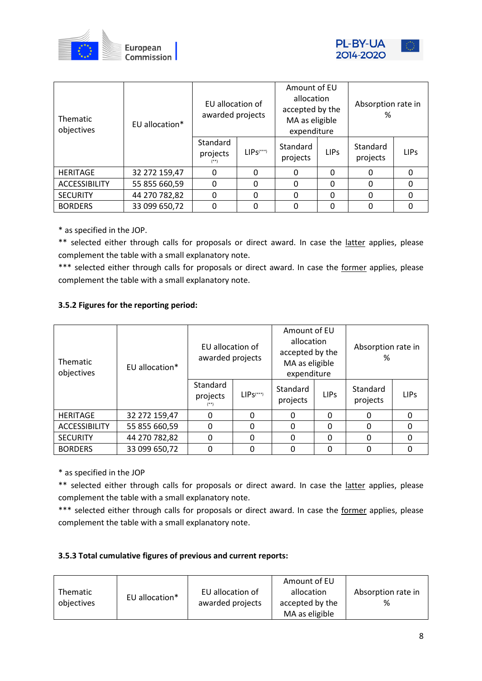



| Thematic<br>objectives | EU allocation* | EU allocation of<br>awarded projects |                         | Amount of EU<br>allocation<br>accepted by the<br>MA as eligible<br>expenditure |                  | Absorption rate in<br>% |             |  |
|------------------------|----------------|--------------------------------------|-------------------------|--------------------------------------------------------------------------------|------------------|-------------------------|-------------|--|
|                        |                | Standard<br>projects<br>$(***)$      | $LIPS$ <sup>(***)</sup> | Standard<br>projects                                                           | LIP <sub>S</sub> | Standard<br>projects    | <b>LIPS</b> |  |
| <b>HERITAGE</b>        | 32 272 159,47  | $\Omega$                             | 0                       | $\Omega$                                                                       | $\Omega$         | ი                       | O           |  |
| <b>ACCESSIBILITY</b>   | 55 855 660,59  | $\Omega$                             | $\Omega$                | $\Omega$                                                                       | $\Omega$         | 0                       | Ω           |  |
| <b>SECURITY</b>        | 44 270 782,82  | 0                                    | $\mathbf 0$             | 0                                                                              | $\Omega$         | 0                       | Ω           |  |
| <b>BORDERS</b>         | 33 099 650,72  | 0                                    | 0                       | 0                                                                              | $\Omega$         |                         |             |  |

\* as specified in the JOP.

\*\* selected either through calls for proposals or direct award. In case the latter applies, please complement the table with a small explanatory note.

\*\*\* selected either through calls for proposals or direct award. In case the former applies, please complement the table with a small explanatory note.

## **3.5.2 Figures for the reporting period:**

| <b>Thematic</b><br>objectives | EU allocation* | EU allocation of<br>awarded projects |                | Amount of EU<br>allocation<br>accepted by the<br>MA as eligible<br>expenditure |             | Absorption rate in<br>% |             |  |
|-------------------------------|----------------|--------------------------------------|----------------|--------------------------------------------------------------------------------|-------------|-------------------------|-------------|--|
|                               |                | Standard<br>projects<br>(**)         | $LIPS^{(***)}$ | Standard<br>projects                                                           | <b>LIPS</b> | Standard<br>projects    | <b>LIPs</b> |  |
| <b>HERITAGE</b>               | 32 272 159,47  | 0                                    | 0              | 0                                                                              | 0           | $\Omega$                | $\Omega$    |  |
| <b>ACCESSIBILITY</b>          | 55 855 660,59  | 0                                    | 0              | $\Omega$                                                                       | 0           | $\Omega$                | 0           |  |
| <b>SECURITY</b>               | 44 270 782,82  | 0                                    | 0              | 0                                                                              | 0           | 0                       | 0           |  |
| <b>BORDERS</b>                | 33 099 650,72  |                                      | 0              | 0                                                                              | 0           |                         |             |  |

\* as specified in the JOP

\*\* selected either through calls for proposals or direct award. In case the latter applies, please complement the table with a small explanatory note.

\*\*\* selected either through calls for proposals or direct award. In case the former applies, please complement the table with a small explanatory note.

## **3.5.3 Total cumulative figures of previous and current reports:**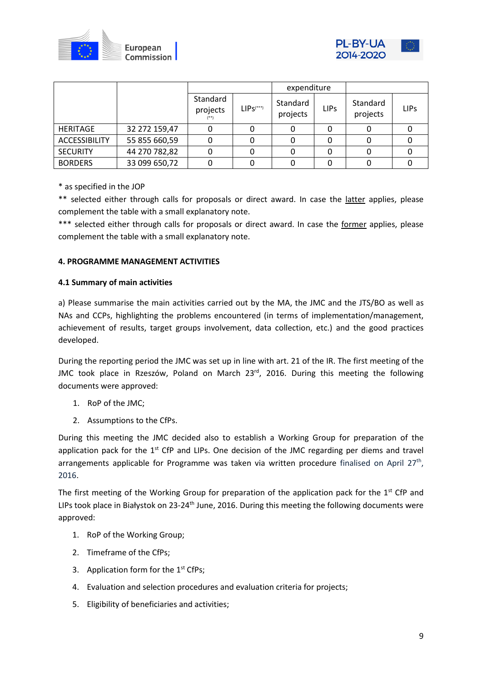



|                      |               |                      |               | expenditure          |             |                      |             |
|----------------------|---------------|----------------------|---------------|----------------------|-------------|----------------------|-------------|
|                      |               | Standard<br>projects | $LIPS^{(**)}$ | Standard<br>projects | <b>LIPs</b> | Standard<br>projects | <b>LIPs</b> |
| <b>HERITAGE</b>      | 32 272 159,47 |                      |               |                      |             |                      |             |
| <b>ACCESSIBILITY</b> | 55 855 660,59 |                      |               |                      |             |                      |             |
| <b>SECURITY</b>      | 44 270 782,82 |                      |               |                      |             |                      |             |
| <b>BORDERS</b>       | 33 099 650,72 |                      |               |                      |             |                      |             |

\* as specified in the JOP

\*\* selected either through calls for proposals or direct award. In case the latter applies, please complement the table with a small explanatory note.

\*\*\* selected either through calls for proposals or direct award. In case the former applies, please complement the table with a small explanatory note.

## **4. PROGRAMME MANAGEMENT ACTIVITIES**

#### **4.1 Summary of main activities**

a) Please summarise the main activities carried out by the MA, the JMC and the JTS/BO as well as NAs and CCPs, highlighting the problems encountered (in terms of implementation/management, achievement of results, target groups involvement, data collection, etc.) and the good practices developed.

During the reporting period the JMC was set up in line with art. 21 of the IR. The first meeting of the JMC took place in Rzeszów, Poland on March 23<sup>rd</sup>, 2016. During this meeting the following documents were approved:

- 1. RoP of the JMC;
- 2. Assumptions to the CfPs.

During this meeting the JMC decided also to establish a Working Group for preparation of the application pack for the  $1<sup>st</sup>$  CfP and LIPs. One decision of the JMC regarding per diems and travel arrangements applicable for Programme was taken via written procedure finalised on April  $27<sup>th</sup>$ , 2016.

The first meeting of the Working Group for preparation of the application pack for the  $1<sup>st</sup>$  CfP and LIPs took place in Białystok on 23-24<sup>th</sup> June, 2016. During this meeting the following documents were approved:

- 1. RoP of the Working Group;
- 2. Timeframe of the CfPs;
- 3. Application form for the 1<sup>st</sup> CfPs;
- 4. Evaluation and selection procedures and evaluation criteria for projects;
- 5. Eligibility of beneficiaries and activities;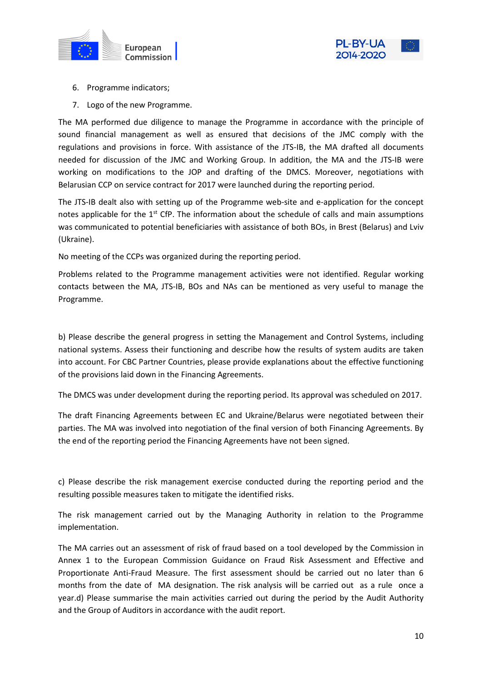



- 6. Programme indicators;
- 7. Logo of the new Programme.

The MA performed due diligence to manage the Programme in accordance with the principle of sound financial management as well as ensured that decisions of the JMC comply with the regulations and provisions in force. With assistance of the JTS-IB, the MA drafted all documents needed for discussion of the JMC and Working Group. In addition, the MA and the JTS-IB were working on modifications to the JOP and drafting of the DMCS. Moreover, negotiations with Belarusian CCP on service contract for 2017 were launched during the reporting period.

The JTS-IB dealt also with setting up of the Programme web-site and e-application for the concept notes applicable for the  $1<sup>st</sup>$  CfP. The information about the schedule of calls and main assumptions was communicated to potential beneficiaries with assistance of both BOs, in Brest (Belarus) and Lviv (Ukraine).

No meeting of the CCPs was organized during the reporting period.

Problems related to the Programme management activities were not identified. Regular working contacts between the MA, JTS-IB, BOs and NAs can be mentioned as very useful to manage the Programme.

b) Please describe the general progress in setting the Management and Control Systems, including national systems. Assess their functioning and describe how the results of system audits are taken into account. For CBC Partner Countries, please provide explanations about the effective functioning of the provisions laid down in the Financing Agreements.

The DMCS was under development during the reporting period. Its approval was scheduled on 2017.

The draft Financing Agreements between EC and Ukraine/Belarus were negotiated between their parties. The MA was involved into negotiation of the final version of both Financing Agreements. By the end of the reporting period the Financing Agreements have not been signed.

c) Please describe the risk management exercise conducted during the reporting period and the resulting possible measures taken to mitigate the identified risks.

The risk management carried out by the Managing Authority in relation to the Programme implementation.

The MA carries out an assessment of risk of fraud based on a tool developed by the Commission in Annex 1 to the European Commission Guidance on Fraud Risk Assessment and Effective and Proportionate Anti-Fraud Measure. The first assessment should be carried out no later than 6 months from the date of MA designation. The risk analysis will be carried out as a rule once a year.d) Please summarise the main activities carried out during the period by the Audit Authority and the Group of Auditors in accordance with the audit report.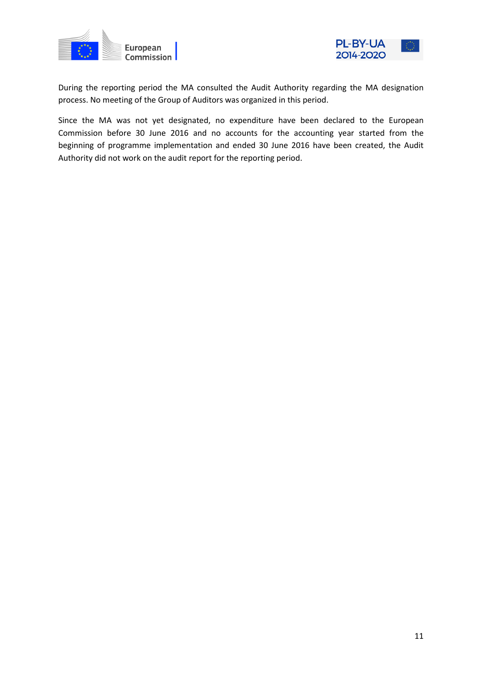



During the reporting period the MA consulted the Audit Authority regarding the MA designation process. No meeting of the Group of Auditors was organized in this period.

Since the MA was not yet designated, no expenditure have been declared to the European Commission before 30 June 2016 and no accounts for the accounting year started from the beginning of programme implementation and ended 30 June 2016 have been created, the Audit Authority did not work on the audit report for the reporting period.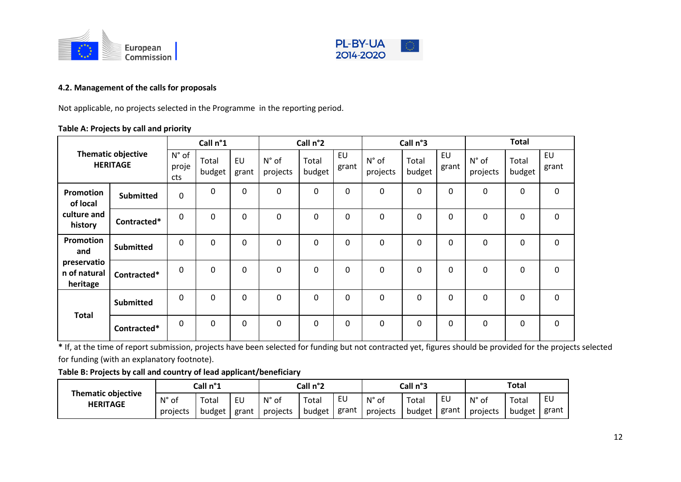



# **4.2. Management of the calls for proposals**

Not applicable, no projects selected in the Programme in the reporting period.

# **Table A: Projects by call and priority**

|                                              |                  |                                | Call n°1        |                    |                            | Call n°2        |                    |                   | Call n°3        |                    |                   | <b>Total</b>    |                    |
|----------------------------------------------|------------------|--------------------------------|-----------------|--------------------|----------------------------|-----------------|--------------------|-------------------|-----------------|--------------------|-------------------|-----------------|--------------------|
| <b>Thematic objective</b><br><b>HERITAGE</b> |                  | $N^{\circ}$ of<br>proje<br>cts | Total<br>budget | <b>EU</b><br>grant | $N^{\circ}$ of<br>projects | Total<br>budget | <b>EU</b><br>grant | N° of<br>projects | Total<br>budget | <b>EU</b><br>grant | N° of<br>projects | Total<br>budget | <b>EU</b><br>grant |
| Promotion<br>of local                        | <b>Submitted</b> | $\mathbf 0$                    | $\mathbf 0$     | $\mathbf 0$        | 0                          | 0               | 0                  | 0                 | 0               | 0                  | 0                 | $\mathbf{0}$    | $\mathbf 0$        |
| culture and<br>history                       | Contracted*      | 0                              | 0               | 0                  | 0                          | 0               | 0                  | 0                 | 0               | 0                  | 0                 | 0               | $\mathbf 0$        |
| Promotion<br>and                             | <b>Submitted</b> | 0                              | $\mathbf{0}$    | $\Omega$           | $\mathbf 0$                | 0               | 0                  | 0                 | 0               | 0                  | 0                 | $\mathbf 0$     | $\mathbf 0$        |
| preservatio<br>n of natural<br>heritage      | Contracted*      | $\mathbf 0$                    | 0               | $\Omega$           | 0                          | 0               | 0                  | 0                 | 0               | 0                  | 0                 | $\mathbf 0$     | $\mathbf 0$        |
| <b>Total</b>                                 | <b>Submitted</b> | 0                              | $\mathbf{0}$    | 0                  | $\mathbf{0}$               | 0               | 0                  | $\mathbf{0}$      | 0               | $\mathbf 0$        | 0                 | $\mathbf{0}$    | $\mathbf 0$        |
|                                              | Contracted*      | $\mathbf{0}$                   | $\mathbf 0$     | $\Omega$           | $\mathbf 0$                | 0               | 0                  | 0                 | 0               | $\mathbf 0$        | 0                 | $\Omega$        | 0                  |

\* If, at the time of report submission, projects have been selected for funding but not contracted yet, figures should be provided for the projects selected for funding (with an explanatory footnote).

## **Table B: Projects by call and country of lead applicant/beneficiary**

|                                              | Call n°1       |        |       |          | Call n°2 |       | Call n°3       |        |       | <b>Total</b>      |        |       |
|----------------------------------------------|----------------|--------|-------|----------|----------|-------|----------------|--------|-------|-------------------|--------|-------|
| <b>Thematic objective</b><br><b>HERITAGE</b> | $N^{\circ}$ of | Total  | EU    | Ν°<br>оf | Total    | EU    | $N^{\circ}$ of | Totai  | EU    | $N^{\circ}$<br>οf | Total  | EU    |
|                                              | projects       | budget | grant | projects | budget   | grant | projects       | budget | grant | projects          | budget | grant |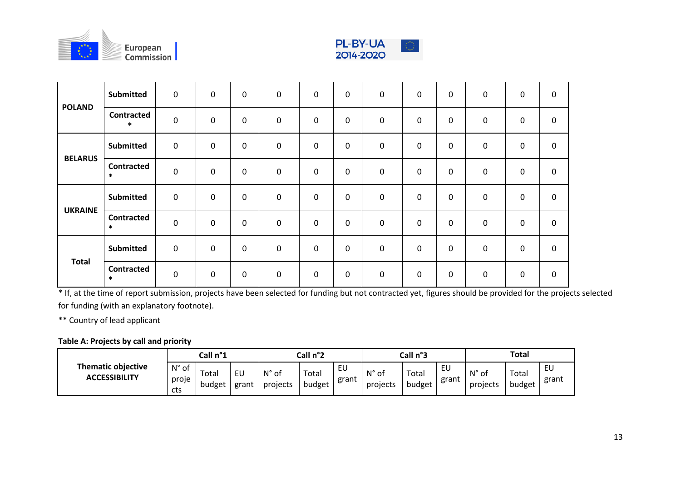



|                | <b>Submitted</b>            | $\mathbf 0$ | $\mathbf 0$ | $\mathbf 0$ | $\mathsf{O}\xspace$ | $\mathbf 0$ | 0           | $\mathbf 0$ | $\mathbf 0$ | $\mathbf 0$ | $\mathbf 0$      | $\mathbf 0$ | $\mathbf 0$ |
|----------------|-----------------------------|-------------|-------------|-------------|---------------------|-------------|-------------|-------------|-------------|-------------|------------------|-------------|-------------|
| <b>POLAND</b>  | <b>Contracted</b><br>$\ast$ | $\pmb{0}$   | 0           | $\mathbf 0$ | $\mathbf 0$         | $\mathbf 0$ | 0           | $\mathbf 0$ | $\mathbf 0$ | $\mathbf 0$ | 0                | $\mathbf 0$ | $\mathbf 0$ |
| <b>BELARUS</b> | Submitted                   | $\mathbf 0$ | $\mathbf 0$ | $\mathbf 0$ | $\mathbf 0$         | $\mathbf 0$ | 0           | $\pmb{0}$   | $\mathbf 0$ | $\mathbf 0$ | $\boldsymbol{0}$ | 0           | $\mathbf 0$ |
|                | <b>Contracted</b><br>$\ast$ | $\mathbf 0$ | $\mathbf 0$ | $\mathbf 0$ | $\mathbf 0$         | $\mathbf 0$ | 0           | $\mathbf 0$ | $\mathbf 0$ | $\mathbf 0$ | 0                | $\mathbf 0$ | $\mathbf 0$ |
|                | <b>Submitted</b>            | $\mathbf 0$ | 0           | $\mathbf 0$ | $\mathbf 0$         | $\mathbf 0$ | 0           | $\mathbf 0$ | $\mathbf 0$ | $\mathbf 0$ | $\mathbf 0$      | 0           | $\mathbf 0$ |
| <b>UKRAINE</b> | Contracted<br>$\ast$        | $\mathbf 0$ | 0           | $\mathbf 0$ | $\mathbf 0$         | $\mathbf 0$ | 0           | $\mathbf 0$ | $\mathbf 0$ | $\mathbf 0$ | $\mathbf 0$      | $\mathbf 0$ | $\mathbf 0$ |
|                | <b>Submitted</b>            | $\mathbf 0$ | 0           | $\mathbf 0$ | $\mathbf 0$         | 0           | 0           | $\mathbf 0$ | $\mathbf 0$ | 0           | 0                | 0           | $\mathbf 0$ |
| <b>Total</b>   | <b>Contracted</b><br>$\ast$ | $\mathbf 0$ | $\mathbf 0$ | $\mathbf 0$ | $\mathbf 0$         | $\mathbf 0$ | $\mathbf 0$ | $\mathbf 0$ | $\mathbf 0$ | $\mathbf 0$ | $\mathbf 0$      | $\mathbf 0$ | $\mathbf 0$ |

 $*$  If, at the time of report submission, projects have been selected for funding but not contracted yet, figures should be provided for the projects selected for funding (with an explanatory footnote).

\*\* Country of lead applicant

# **Table A: Projects by call and priority**

|                                                   |                                    | Call n°1        |             |                            | Call n°2        |             |                   | Call n°3        |             | <b>Total</b>      |                 |             |
|---------------------------------------------------|------------------------------------|-----------------|-------------|----------------------------|-----------------|-------------|-------------------|-----------------|-------------|-------------------|-----------------|-------------|
| <b>Thematic objective</b><br><b>ACCESSIBILITY</b> | $N^{\circ}$<br>.of<br>proje<br>cts | Total<br>budget | EU<br>grant | $N^{\circ}$ of<br>projects | Total<br>budget | EU<br>grant | N° of<br>projects | Total<br>budget | EU<br>grant | N° of<br>projects | Total<br>budget | EU<br>grant |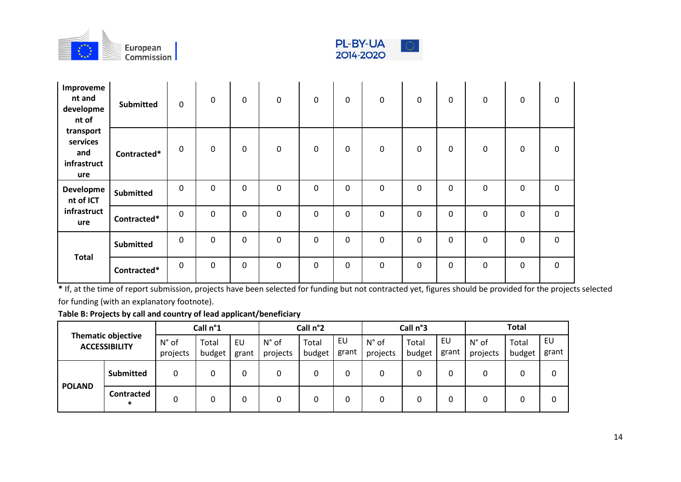



| Improveme<br>nt and<br>developme<br>nt of          | <b>Submitted</b> | $\mathbf 0$ | 0                   | 0 | $\mathbf 0$ | $\mathsf{O}\xspace$ | $\mathbf 0$ | $\mathbf 0$ | $\mathsf{O}\xspace$ | $\mathbf 0$  | $\mathbf 0$ | $\mathbf 0$ | $\mathbf 0$ |
|----------------------------------------------------|------------------|-------------|---------------------|---|-------------|---------------------|-------------|-------------|---------------------|--------------|-------------|-------------|-------------|
| transport<br>services<br>and<br>infrastruct<br>ure | Contracted*      | 0           | $\mathbf 0$         | 0 | $\mathbf 0$ | $\mathsf{O}\xspace$ | $\mathbf 0$ | $\mathsf 0$ | $\mathsf{O}\xspace$ | $\mathbf 0$  | $\mathbf 0$ | $\mathbf 0$ | $\mathbf 0$ |
| Developme<br>nt of ICT                             | <b>Submitted</b> | $\mathbf 0$ | $\mathbf 0$         | 0 | $\mathbf 0$ | 0                   | $\mathbf 0$ | $\mathbf 0$ | $\mathbf 0$         | $\mathbf 0$  | $\mathbf 0$ | $\mathbf 0$ | $\mathbf 0$ |
| infrastruct<br>ure                                 | Contracted*      | $\mathbf 0$ | $\mathbf 0$         | 0 | $\mathbf 0$ | $\mathbf 0$         | $\pmb{0}$   | $\mathbf 0$ | $\mathbf 0$         | 0            | $\mathbf 0$ | $\mathbf 0$ | $\mathbf 0$ |
| <b>Total</b>                                       | <b>Submitted</b> | $\mathsf 0$ | $\mathsf{O}\xspace$ | 0 | $\pmb{0}$   | $\mathbf 0$         | 0           | $\mathbf 0$ | $\mathsf{O}\xspace$ | $\mathbf 0$  | $\mathbf 0$ | $\mathsf 0$ | $\mathsf 0$ |
|                                                    | Contracted*      | $\mathbf 0$ | $\mathbf 0$         | 0 | $\mathbf 0$ | $\mathbf 0$         | $\mathbf 0$ | $\mathbf 0$ | $\mathbf 0$         | $\mathbf{0}$ | $\mathbf 0$ | $\mathbf 0$ | $\mathbf 0$ |

\* If, at the time of report submission, projects have been selected for funding but not contracted yet, figures should be provided for the projects selected

for funding (with an explanatory footnote).

**Table B: Projects by call and country of lead applicant/beneficiary**

|                                                   |                             |                            | Call n°1        |             |                            | Call n°2        |             |                            | Call n°3        |             |                            | <b>Total</b>    |             |
|---------------------------------------------------|-----------------------------|----------------------------|-----------------|-------------|----------------------------|-----------------|-------------|----------------------------|-----------------|-------------|----------------------------|-----------------|-------------|
| <b>Thematic objective</b><br><b>ACCESSIBILITY</b> |                             | $N^{\circ}$ of<br>projects | Total<br>budget | EU<br>grant | $N^{\circ}$ of<br>projects | Total<br>budget | EU<br>grant | $N^{\circ}$ of<br>projects | Total<br>budget | EU<br>grant | $N^{\circ}$ of<br>projects | Total<br>budget | EU<br>grant |
|                                                   | <b>Submitted</b>            | 0                          |                 | 0           | 0                          |                 | 0           | 0                          |                 | 0           | 0                          | 0               |             |
| <b>POLAND</b>                                     | <b>Contracted</b><br>$\ast$ |                            |                 | 0           | 0                          |                 | 0           | 0                          |                 |             |                            | 0               |             |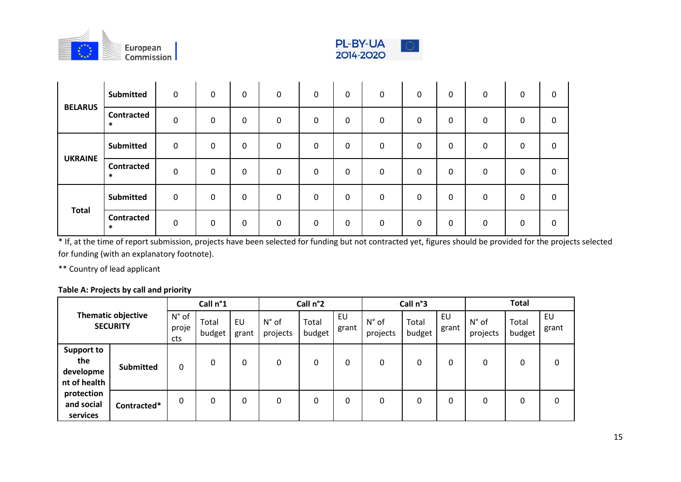



| <b>BELARUS</b> | <b>Submitted</b>            | $\mathbf 0$  | 0            | $\mathbf 0$  | 0            | 0 | 0 | $\mathbf 0$  | $\mathbf 0$  | $\mathbf 0$ | 0 | 0            | 0 |
|----------------|-----------------------------|--------------|--------------|--------------|--------------|---|---|--------------|--------------|-------------|---|--------------|---|
|                | <b>Contracted</b><br>$\ast$ | 0            | 0            | 0            | 0            | 0 | 0 | $\mathbf 0$  | $\mathbf 0$  | 0           | 0 | 0            | 0 |
| <b>UKRAINE</b> | Submitted                   | 0            | 0            | 0            | 0            | 0 | 0 | 0            | 0            | 0           | 0 | $\mathbf 0$  | 0 |
|                | <b>Contracted</b><br>$\ast$ | 0            | 0            | 0            | 0            | 0 | 0 | $\mathbf{0}$ | 0            | 0           | 0 | 0            | 0 |
| <b>Total</b>   | <b>Submitted</b>            | $\mathbf{0}$ | $\mathbf{0}$ | $\mathbf{0}$ | $\Omega$     | 0 | 0 | $\mathbf 0$  | $\mathbf{0}$ | 0           | 0 | $\mathbf{0}$ | 0 |
|                | <b>Contracted</b><br>$\ast$ | $\mathbf{0}$ | $\mathbf{0}$ | $\mathbf 0$  | $\mathbf{0}$ | 0 | 0 | $\mathbf 0$  | $\mathbf 0$  | 0           | 0 | $\mathbf 0$  | 0 |

\* If, at the time of report submission, projects have been selected for funding but not contracted yet, figures should be provided for the projects selected for funding (with an explanatory footnote).

\*\* Country of lead applicant

# **Table A: Projects by call and priority**

|                                                       |             |                                | Call n°1        |             |                            | Call n°2        |             |                            | Call n°3        |             |                            | <b>Total</b>    |             |
|-------------------------------------------------------|-------------|--------------------------------|-----------------|-------------|----------------------------|-----------------|-------------|----------------------------|-----------------|-------------|----------------------------|-----------------|-------------|
| <b>Thematic objective</b><br><b>SECURITY</b>          |             | $N^{\circ}$ of<br>proje<br>cts | Total<br>budget | EU<br>grant | $N^{\circ}$ of<br>projects | Total<br>budget | EU<br>grant | $N^{\circ}$ of<br>projects | Total<br>budget | EU<br>grant | $N^{\circ}$ of<br>projects | Total<br>budget | EU<br>grant |
| <b>Support to</b><br>the<br>developme<br>nt of health | Submitted   | 0                              | 0               | 0           |                            | 0               | 0           | 0                          | 0               | 0           | 0                          |                 | 0           |
| protection<br>and social<br>services                  | Contracted* | 0                              | 0               | 0           |                            | 0               | 0           | 0                          | 0               | 0           | 0                          |                 | 0           |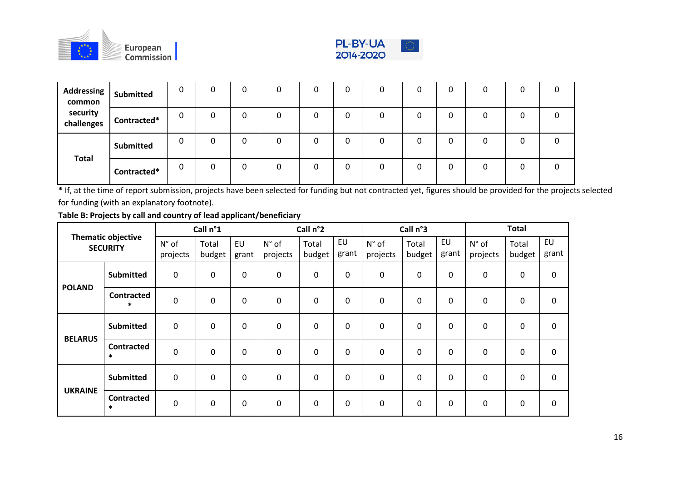



| Addressing Submitted<br>common |                  | 0 | 0 | 0      | 0 | 0 | 0 | 0 |          | 0 |  |
|--------------------------------|------------------|---|---|--------|---|---|---|---|----------|---|--|
| security<br>challenges         | Contracted*      | 0 | 0 | 0      | 0 |   | n | 0 |          |   |  |
| <b>Total</b>                   | <b>Submitted</b> | 0 | 0 | ∩<br>υ | 0 |   | 0 | 0 | $\Omega$ | C |  |
|                                | Contracted*      | 0 | 0 | 0      | n |   | n | 0 |          | O |  |

**\*** If, at the time of report submission, projects have been selected for funding but not contracted yet, figures should be provided for the projects selected for funding (with an explanatory footnote).

|                |                                              |                   | Call n°1        |                    |                   | Call n°2        |             |                            | Call n°3        |                    |                            | <b>Total</b>    |                    |
|----------------|----------------------------------------------|-------------------|-----------------|--------------------|-------------------|-----------------|-------------|----------------------------|-----------------|--------------------|----------------------------|-----------------|--------------------|
|                | <b>Thematic objective</b><br><b>SECURITY</b> | N° of<br>projects | Total<br>budget | <b>EU</b><br>grant | N° of<br>projects | Total<br>budget | EU<br>grant | $N^{\circ}$ of<br>projects | Total<br>budget | <b>EU</b><br>grant | $N^{\circ}$ of<br>projects | Total<br>budget | <b>EU</b><br>grant |
|                | <b>Submitted</b>                             | $\mathbf 0$       | $\mathbf{0}$    | $\mathbf 0$        | 0                 | 0               | $\mathbf 0$ | $\mathbf 0$                | 0               | 0                  | 0                          | $\mathbf 0$     | 0                  |
| <b>POLAND</b>  | <b>Contracted</b><br>$\ast$                  | $\mathbf 0$       | $\mathbf{0}$    | $\mathbf 0$        | 0                 | 0               | 0           | $\mathbf 0$                | 0               | $\mathbf 0$        | 0                          | $\mathbf 0$     | 0                  |
| <b>BELARUS</b> | <b>Submitted</b>                             | $\mathbf 0$       | $\mathbf 0$     | $\mathbf 0$        | 0                 | 0               | 0           | $\mathbf 0$                | 0               | $\mathbf 0$        | $\mathbf 0$                | $\mathbf 0$     | $\mathbf 0$        |
|                | <b>Contracted</b><br>$\ast$                  | $\mathbf 0$       | $\mathbf 0$     | $\mathbf 0$        | 0                 | 0               | 0           | $\mathbf 0$                | 0               | $\Omega$           | $\mathbf 0$                | $\mathbf 0$     | 0                  |
| <b>UKRAINE</b> | <b>Submitted</b>                             | $\mathbf 0$       | $\mathbf 0$     | $\mathbf 0$        | 0                 | 0               | $\mathbf 0$ | $\mathbf 0$                | 0               | $\Omega$           | $\mathbf 0$                | $\mathbf 0$     | $\mathbf 0$        |
|                | <b>Contracted</b><br>$\ast$                  | $\mathbf 0$       | $\mathbf{0}$    | $\mathbf 0$        | 0                 | 0               | 0           | $\mathbf 0$                | 0               | 0                  | 0                          | 0               | 0                  |

**Table B: Projects by call and country of lead applicant/beneficiary**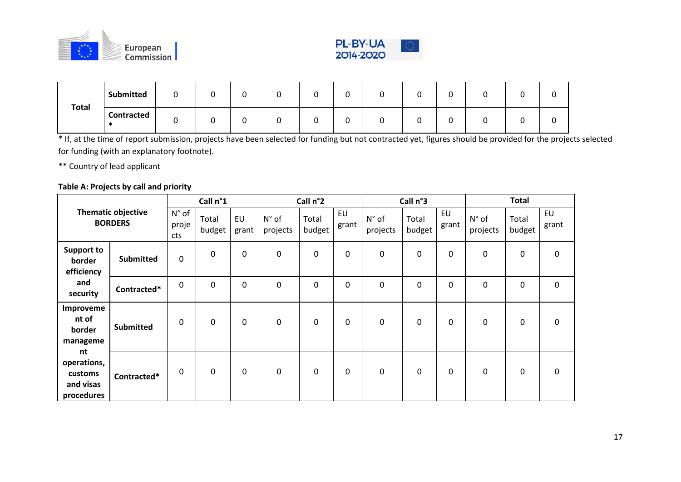



|              | <b>Submitted</b>  | ັ  |  | ∼      | ∽ |  |   |
|--------------|-------------------|----|--|--------|---|--|---|
| <b>Total</b> | <b>Contracted</b> | ັບ |  | ∽<br>ັ |   |  | ◡ |

\* If, at the time of report submission, projects have been selected for funding but not contracted yet, figures should be provided for the projects selected for funding (with an explanatory footnote).

\*\* Country of lead applicant

## **Table A: Projects by call and priority**

|                                                         |                                             |                       | Call n°1        |              |                   | Call n°2        |                    |                   | Call n°3        |             |                            | <b>Total</b>    |                    |
|---------------------------------------------------------|---------------------------------------------|-----------------------|-----------------|--------------|-------------------|-----------------|--------------------|-------------------|-----------------|-------------|----------------------------|-----------------|--------------------|
|                                                         | <b>Thematic objective</b><br><b>BORDERS</b> | N° of<br>proje<br>cts | Total<br>budget | EU<br>grant  | N° of<br>projects | Total<br>budget | <b>EU</b><br>grant | N° of<br>projects | Total<br>budget | EU<br>grant | $N^{\circ}$ of<br>projects | Total<br>budget | <b>EU</b><br>grant |
| <b>Support to</b><br>border<br>efficiency               | <b>Submitted</b>                            | 0                     | $\pmb{0}$       | $\mathbf 0$  | $\pmb{0}$         | 0               | $\pmb{0}$          | $\boldsymbol{0}$  | 0               | 0           | 0                          | 0               | $\pmb{0}$          |
| and<br>security                                         | Contracted*                                 | 0                     | $\mathbf 0$     | $\mathbf 0$  | $\mathbf 0$       | 0               | $\mathbf 0$        | 0                 | 0               | 0           | 0                          | 0               | $\mathbf 0$        |
| Improveme<br>nt of<br>border<br>manageme                | <b>Submitted</b>                            | 0                     | $\mathbf 0$     | $\mathbf{0}$ | $\mathbf 0$       | 0               | $\mathbf 0$        | 0                 | 0               | 0           | 0                          | 0               | $\mathbf 0$        |
| nt<br>operations,<br>customs<br>and visas<br>procedures | Contracted*                                 | 0                     | $\pmb{0}$       | $\mathbf{0}$ | $\mathbf 0$       | $\Omega$        | 0                  | 0                 | 0               | 0           | 0                          | 0               | $\mathbf 0$        |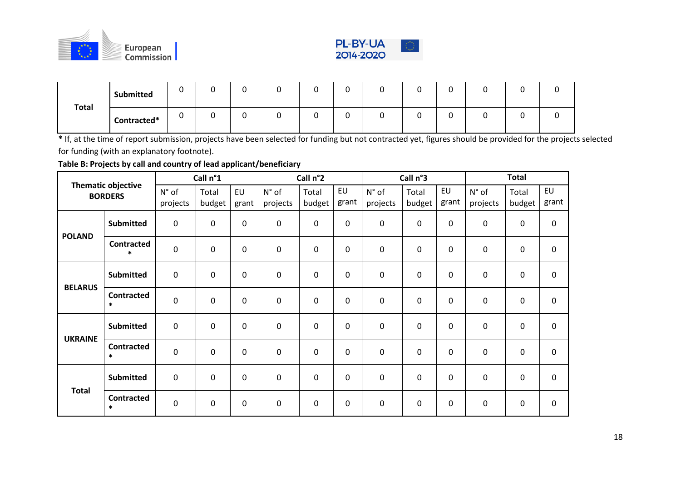



|              | <b>Submitted</b> | $\overline{\phantom{0}}$ | ⌒<br>ັ | $\sim$<br>ັ | $\sqrt{2}$<br>ັ | $\sim$<br>ັ | ∽ |   | ⌒ |  | ັບ |
|--------------|------------------|--------------------------|--------|-------------|-----------------|-------------|---|---|---|--|----|
| <b>Total</b> | Contracted*      |                          | ⌒<br>ັ | $\sim$<br>ັ | ⌒<br>ັ          | ∽<br>ັ      | ◠ | ີ |   |  | ັບ |

**\*** If, at the time of report submission, projects have been selected for funding but not contracted yet, figures should be provided for the projects selected for funding (with an explanatory footnote).

**Table B: Projects by call and country of lead applicant/beneficiary**

|                |                                             |                     | Call n°1    |             |             | Call n°2    |                  |                  | Call n°3    |                  |             | <b>Total</b> |             |
|----------------|---------------------------------------------|---------------------|-------------|-------------|-------------|-------------|------------------|------------------|-------------|------------------|-------------|--------------|-------------|
|                | <b>Thematic objective</b><br><b>BORDERS</b> | $N^{\circ}$ of      | Total       | <b>EU</b>   | N° of       | Total       | EU               | $N^{\circ}$ of   | Total       | EU               | N° of       | Total        | EU          |
|                |                                             | projects            | budget      | grant       | projects    | budget      | grant            | projects         | budget      | grant            | projects    | budget       | grant       |
| <b>POLAND</b>  | <b>Submitted</b>                            | $\mathbf 0$         | $\mathbf 0$ | $\mathbf 0$ | $\pmb{0}$   | $\mathbf 0$ | $\mathbf 0$      | $\pmb{0}$        | $\mathbf 0$ | $\mathbf 0$      | $\pmb{0}$   | $\pmb{0}$    | $\pmb{0}$   |
|                | <b>Contracted</b><br>$\ast$                 | $\boldsymbol{0}$    | $\pmb{0}$   | $\mathbf 0$ | $\mathbf 0$ | $\mathbf 0$ | $\mathbf 0$      | $\boldsymbol{0}$ | $\mathbf 0$ | $\pmb{0}$        | $\pmb{0}$   | $\pmb{0}$    | 0           |
| <b>BELARUS</b> | <b>Submitted</b>                            | $\pmb{0}$           | $\mathbf 0$ | 0           | $\mathbf 0$ | 0           | 0                | $\pmb{0}$        | $\mathbf 0$ | 0                | 0           | 0            | 0           |
|                | <b>Contracted</b><br>$\ast$                 | $\pmb{0}$           | $\mathbf 0$ | $\mathbf 0$ | $\pmb{0}$   | $\mathbf 0$ | $\boldsymbol{0}$ | $\pmb{0}$        | $\mathbf 0$ | $\boldsymbol{0}$ | $\pmb{0}$   | $\pmb{0}$    | $\pmb{0}$   |
| <b>UKRAINE</b> | <b>Submitted</b>                            | $\pmb{0}$           | $\mathbf 0$ | $\mathbf 0$ | $\mathbf 0$ | $\mathbf 0$ | $\mathbf 0$      | $\pmb{0}$        | 0           | $\boldsymbol{0}$ | $\pmb{0}$   | $\pmb{0}$    | $\pmb{0}$   |
|                | <b>Contracted</b><br>$\ast$                 | $\mathbf 0$         | $\mathbf 0$ | $\mathbf 0$ | $\mathbf 0$ | $\mathbf 0$ | $\mathbf 0$      | $\mathbf 0$      | $\mathbf 0$ | $\mathbf 0$      | $\mathbf 0$ | $\mathbf 0$  | $\mathbf 0$ |
| <b>Total</b>   | Submitted                                   | $\mathbf 0$         | $\mathbf 0$ | $\mathbf 0$ | $\mathbf 0$ | $\mathbf 0$ | $\mathbf 0$      | $\mathbf 0$      | $\mathbf 0$ | $\mathbf 0$      | $\mathbf 0$ | $\mathbf 0$  | $\mathbf 0$ |
|                | <b>Contracted</b><br>$\ast$                 | $\mathsf{O}\xspace$ | 0           | 0           | $\mathbf 0$ | $\pmb{0}$   | $\mathbf 0$      | $\mathbf 0$      | 0           | 0                | $\mathbf 0$ | 0            | $\mathbf 0$ |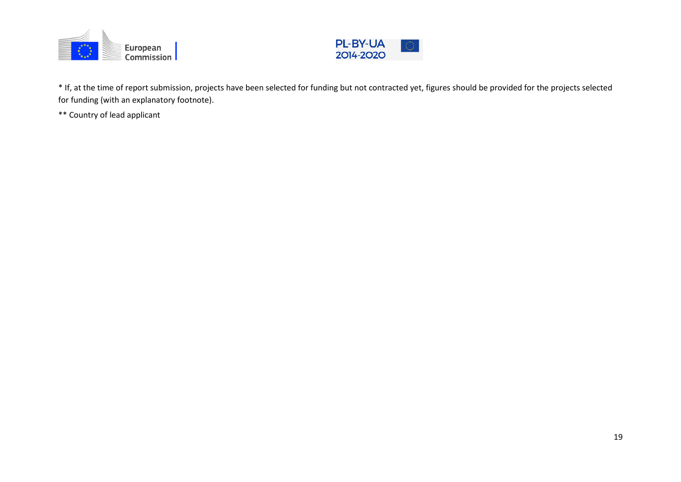



\* If, at the time of report submission, projects have been selected for funding but not contracted yet, figures should be provided for the projects selected for funding (with an explanatory footnote).

\*\* Country of lead applicant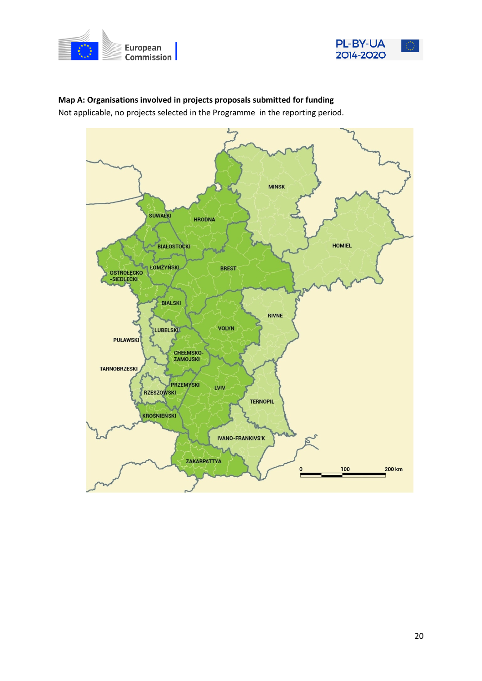



# **Map A: Organisations involved in projects proposals submitted for funding**

Not applicable, no projects selected in the Programme in the reporting period.

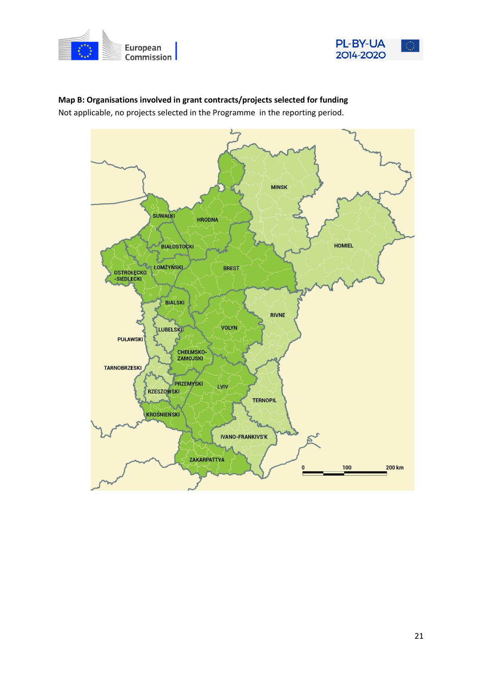



# **MINSK SUWAŁKI HRODNA** BIAŁOSTOCKI **HOMIEL ŁOMŻYŃSKI BREST** OSTROŁĘCKO<br>-SIEDLECKI S **BIALSKI RIVNE VOLYN** LUBELSKI **PUŁAWSKI CHELMSKO-**ZAMOJSKI **TARNOBRZESKI** PRZEMYSKI LVIV **RZESZOWSKI TERNOPIL KROŚNIEŃSKI IVANO-FRANKIVS'K** ZAKARPATTYA 100 200 km

**Map B: Organisations involved in grant contracts/projects selected for funding** Not applicable, no projects selected in the Programme in the reporting period.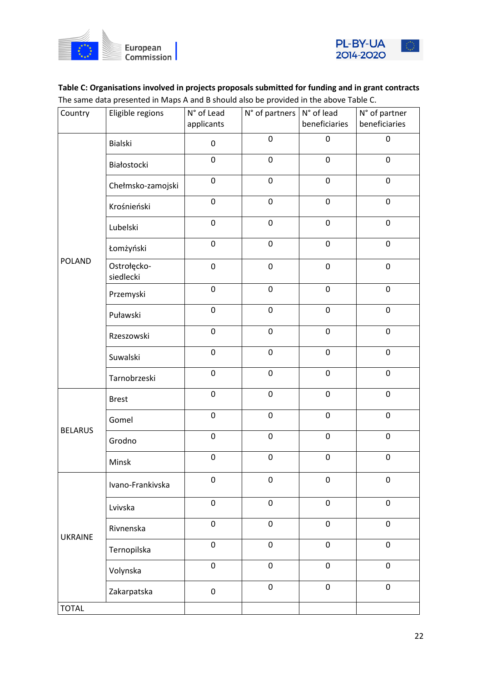



# **Table C: Organisations involved in projects proposals submitted for funding and in grant contracts** The same data presented in Maps A and B should also be provided in the above Table C.

| Country        | Eligible regions         | N° of Lead<br>applicants | $N^{\circ}$ of partners $N^{\circ}$ of lead | beneficiaries | N° of partner<br>beneficiaries |
|----------------|--------------------------|--------------------------|---------------------------------------------|---------------|--------------------------------|
|                | Bialski                  | $\pmb{0}$                | $\pmb{0}$                                   | $\pmb{0}$     | $\pmb{0}$                      |
|                | Białostocki              | 0                        | $\pmb{0}$                                   | $\pmb{0}$     | $\pmb{0}$                      |
|                | Chełmsko-zamojski        | $\pmb{0}$                | $\pmb{0}$                                   | $\pmb{0}$     | $\pmb{0}$                      |
|                | Krośnieński              | $\pmb{0}$                | $\pmb{0}$                                   | $\pmb{0}$     | $\pmb{0}$                      |
|                | Lubelski                 | $\pmb{0}$                | $\pmb{0}$                                   | $\pmb{0}$     | $\pmb{0}$                      |
|                | Łomżyński                | $\pmb{0}$                | $\pmb{0}$                                   | $\pmb{0}$     | $\pmb{0}$                      |
| <b>POLAND</b>  | Ostrołęcko-<br>siedlecki | $\pmb{0}$                | $\pmb{0}$                                   | $\pmb{0}$     | $\pmb{0}$                      |
|                | Przemyski                | $\pmb{0}$                | $\pmb{0}$                                   | $\pmb{0}$     | $\pmb{0}$                      |
|                | Puławski                 | $\pmb{0}$                | $\pmb{0}$                                   | $\pmb{0}$     | $\pmb{0}$                      |
|                | Rzeszowski               | 0                        | $\mathbf 0$                                 | 0             | $\mathbf 0$                    |
|                | Suwalski                 | $\pmb{0}$                | $\pmb{0}$                                   | $\pmb{0}$     | $\pmb{0}$                      |
|                | Tarnobrzeski             | $\pmb{0}$                | $\pmb{0}$                                   | $\pmb{0}$     | $\pmb{0}$                      |
|                | <b>Brest</b>             | $\pmb{0}$                | $\pmb{0}$                                   | $\pmb{0}$     | $\pmb{0}$                      |
|                | Gomel                    | $\pmb{0}$                | $\pmb{0}$                                   | $\pmb{0}$     | $\pmb{0}$                      |
| <b>BELARUS</b> | Grodno                   | $\pmb{0}$                | $\pmb{0}$                                   | $\pmb{0}$     | $\pmb{0}$                      |
|                | Minsk                    | $\pmb{0}$                | $\pmb{0}$                                   | $\pmb{0}$     | $\pmb{0}$                      |
|                | Ivano-Frankivska         | 0                        | $\mathbf 0$                                 | 0             | $\pmb{0}$                      |
|                | Lvivska                  | $\pmb{0}$                | $\pmb{0}$                                   | 0             | $\mathbf 0$                    |
| <b>UKRAINE</b> | Rivnenska                | $\pmb{0}$                | $\pmb{0}$                                   | $\pmb{0}$     | 0                              |
|                | Ternopilska              | 0                        | $\mathsf 0$                                 | 0             | 0                              |
|                | Volynska                 | $\pmb{0}$                | $\pmb{0}$                                   | $\pmb{0}$     | $\pmb{0}$                      |
|                | Zakarpatska              | 0                        | $\pmb{0}$                                   | $\pmb{0}$     | $\pmb{0}$                      |
| <b>TOTAL</b>   |                          |                          |                                             |               |                                |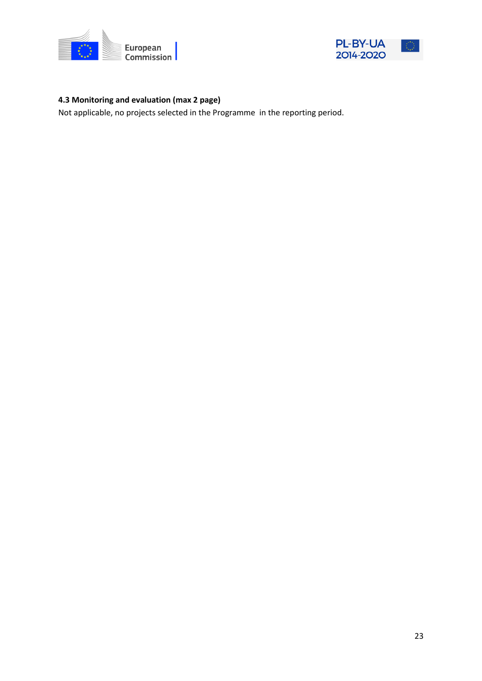



# **4.3 Monitoring and evaluation (max 2 page)**

Not applicable, no projects selected in the Programme in the reporting period.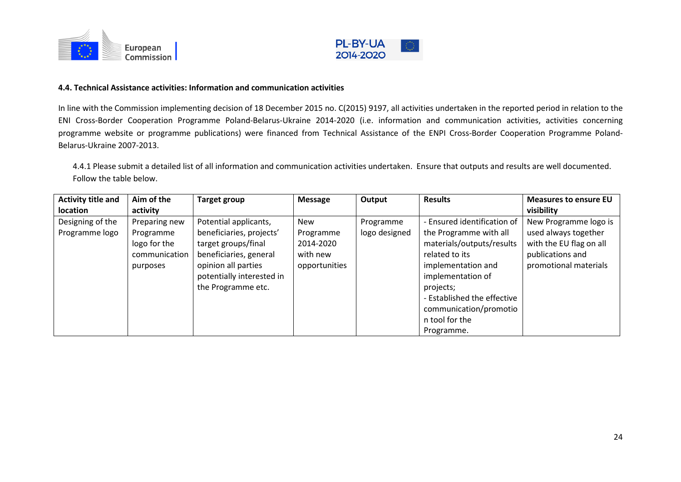



#### **4.4. Technical Assistance activities: Information and communication activities**

In line with the Commission implementing decision of 18 December 2015 no. C(2015) 9197, all activities undertaken in the reported period in relation to the ENI Cross-Border Cooperation Programme Poland-Belarus-Ukraine 2014-2020 (i.e. information and communication activities, activities concerning programme website or programme publications) were financed from Technical Assistance of the ENPI Cross-Border Cooperation Programme Poland-Belarus-Ukraine 2007-2013.

4.4.1 Please submit a detailed list of all information and communication activities undertaken. Ensure that outputs and results are well documented. Follow the table below.

| <b>Activity title and</b><br><b>location</b> | Aim of the<br>activity                                                  | <b>Target group</b>                                                                                                                                                          | <b>Message</b>                                                    | Output                     | <b>Results</b>                                                                                                                                                                                                                                        | <b>Measures to ensure EU</b><br>visibility                                                                            |
|----------------------------------------------|-------------------------------------------------------------------------|------------------------------------------------------------------------------------------------------------------------------------------------------------------------------|-------------------------------------------------------------------|----------------------------|-------------------------------------------------------------------------------------------------------------------------------------------------------------------------------------------------------------------------------------------------------|-----------------------------------------------------------------------------------------------------------------------|
| Designing of the<br>Programme logo           | Preparing new<br>Programme<br>logo for the<br>communication<br>purposes | Potential applicants,<br>beneficiaries, projects'<br>target groups/final<br>beneficiaries, general<br>opinion all parties<br>potentially interested in<br>the Programme etc. | <b>New</b><br>Programme<br>2014-2020<br>with new<br>opportunities | Programme<br>logo designed | - Ensured identification of<br>the Programme with all<br>materials/outputs/results<br>related to its<br>implementation and<br>implementation of<br>projects;<br>- Established the effective<br>communication/promotio<br>n tool for the<br>Programme. | New Programme logo is<br>used always together<br>with the EU flag on all<br>publications and<br>promotional materials |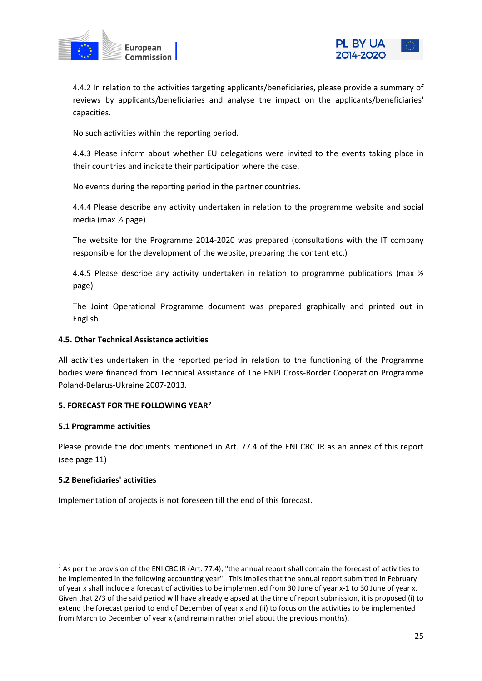



4.4.2 In relation to the activities targeting applicants/beneficiaries, please provide a summary of reviews by applicants/beneficiaries and analyse the impact on the applicants/beneficiaries' capacities.

No such activities within the reporting period.

4.4.3 Please inform about whether EU delegations were invited to the events taking place in their countries and indicate their participation where the case.

No events during the reporting period in the partner countries.

4.4.4 Please describe any activity undertaken in relation to the programme website and social media (max ½ page)

The website for the Programme 2014-2020 was prepared (consultations with the IT company responsible for the development of the website, preparing the content etc.)

4.4.5 Please describe any activity undertaken in relation to programme publications (max  $\frac{1}{2}$ ) page)

The Joint Operational Programme document was prepared graphically and printed out in English.

## **4.5. Other Technical Assistance activities**

All activities undertaken in the reported period in relation to the functioning of the Programme bodies were financed from Technical Assistance of The ENPI Cross-Border Cooperation Programme Poland-Belarus-Ukraine 2007-2013.

### **5. FORECAST FOR THE FOLLOWING YEAR[2](#page-24-0)**

#### **5.1 Programme activities**

Please provide the documents mentioned in Art. 77.4 of the ENI CBC IR as an annex of this report (see page 11)

#### **5.2 Beneficiaries' activities**

Implementation of projects is not foreseen till the end of this forecast.

<span id="page-24-0"></span> $2$  As per the provision of the ENI CBC IR (Art. 77.4), "the annual report shall contain the forecast of activities to be implemented in the following accounting year". This implies that the annual report submitted in February of year x shall include a forecast of activities to be implemented from 30 June of year x-1 to 30 June of year x. Given that 2/3 of the said period will have already elapsed at the time of report submission, it is proposed (i) to extend the forecast period to end of December of year x and (ii) to focus on the activities to be implemented from March to December of year x (and remain rather brief about the previous months).